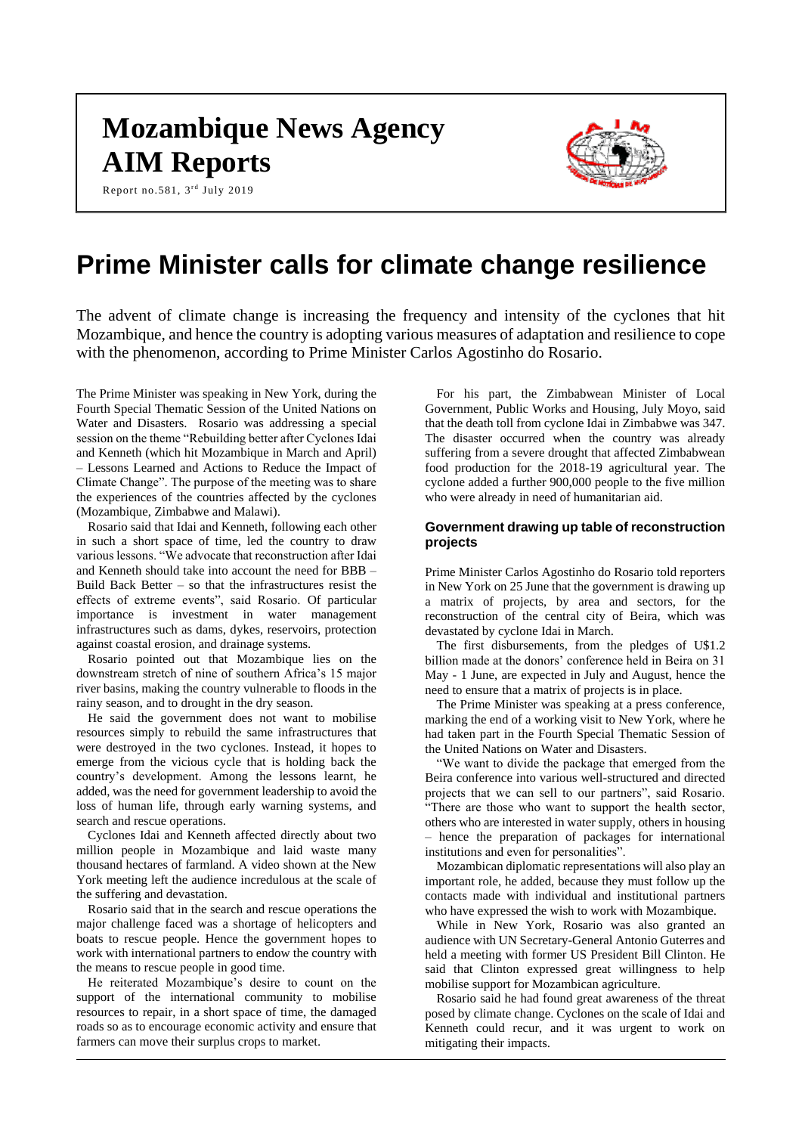# **Mozambique News Agency AIM Reports**

Report no.581,  $3^{rd}$  July 2019



## **Prime Minister calls for climate change resilience**

The advent of climate change is increasing the frequency and intensity of the cyclones that hit Mozambique, and hence the country is adopting various measures of adaptation and resilience to cope with the phenomenon, according to Prime Minister Carlos Agostinho do Rosario.

The Prime Minister was speaking in New York, during the Fourth Special Thematic Session of the United Nations on Water and Disasters. Rosario was addressing a special session on the theme "Rebuilding better after Cyclones Idai and Kenneth (which hit Mozambique in March and April) – Lessons Learned and Actions to Reduce the Impact of Climate Change". The purpose of the meeting was to share the experiences of the countries affected by the cyclones (Mozambique, Zimbabwe and Malawi).

Rosario said that Idai and Kenneth, following each other in such a short space of time, led the country to draw various lessons. "We advocate that reconstruction after Idai and Kenneth should take into account the need for BBB – Build Back Better  $-$  so that the infrastructures resist the effects of extreme events", said Rosario. Of particular importance is investment in water management infrastructures such as dams, dykes, reservoirs, protection against coastal erosion, and drainage systems.

Rosario pointed out that Mozambique lies on the downstream stretch of nine of southern Africa's 15 major river basins, making the country vulnerable to floods in the rainy season, and to drought in the dry season.

He said the government does not want to mobilise resources simply to rebuild the same infrastructures that were destroyed in the two cyclones. Instead, it hopes to emerge from the vicious cycle that is holding back the country's development. Among the lessons learnt, he added, was the need for government leadership to avoid the loss of human life, through early warning systems, and search and rescue operations.

Cyclones Idai and Kenneth affected directly about two million people in Mozambique and laid waste many thousand hectares of farmland. A video shown at the New York meeting left the audience incredulous at the scale of the suffering and devastation.

Rosario said that in the search and rescue operations the major challenge faced was a shortage of helicopters and boats to rescue people. Hence the government hopes to work with international partners to endow the country with the means to rescue people in good time.

He reiterated Mozambique's desire to count on the support of the international community to mobilise resources to repair, in a short space of time, the damaged roads so as to encourage economic activity and ensure that farmers can move their surplus crops to market.

For his part, the Zimbabwean Minister of Local Government, Public Works and Housing, July Moyo, said that the death toll from cyclone Idai in Zimbabwe was 347. The disaster occurred when the country was already suffering from a severe drought that affected Zimbabwean food production for the 2018-19 agricultural year. The cyclone added a further 900,000 people to the five million who were already in need of humanitarian aid.

## **Government drawing up table of reconstruction projects**

Prime Minister Carlos Agostinho do Rosario told reporters in New York on 25 June that the government is drawing up a matrix of projects, by area and sectors, for the reconstruction of the central city of Beira, which was devastated by cyclone Idai in March.

The first disbursements, from the pledges of U\$1.2 billion made at the donors' conference held in Beira on 31 May - 1 June, are expected in July and August, hence the need to ensure that a matrix of projects is in place.

The Prime Minister was speaking at a press conference, marking the end of a working visit to New York, where he had taken part in the Fourth Special Thematic Session of the United Nations on Water and Disasters.

"We want to divide the package that emerged from the Beira conference into various well-structured and directed projects that we can sell to our partners", said Rosario. "There are those who want to support the health sector, others who are interested in water supply, others in housing hence the preparation of packages for international institutions and even for personalities".

Mozambican diplomatic representations will also play an important role, he added, because they must follow up the contacts made with individual and institutional partners who have expressed the wish to work with Mozambique.

While in New York, Rosario was also granted an audience with UN Secretary-General Antonio Guterres and held a meeting with former US President Bill Clinton. He said that Clinton expressed great willingness to help mobilise support for Mozambican agriculture.

Rosario said he had found great awareness of the threat posed by climate change. Cyclones on the scale of Idai and Kenneth could recur, and it was urgent to work on mitigating their impacts.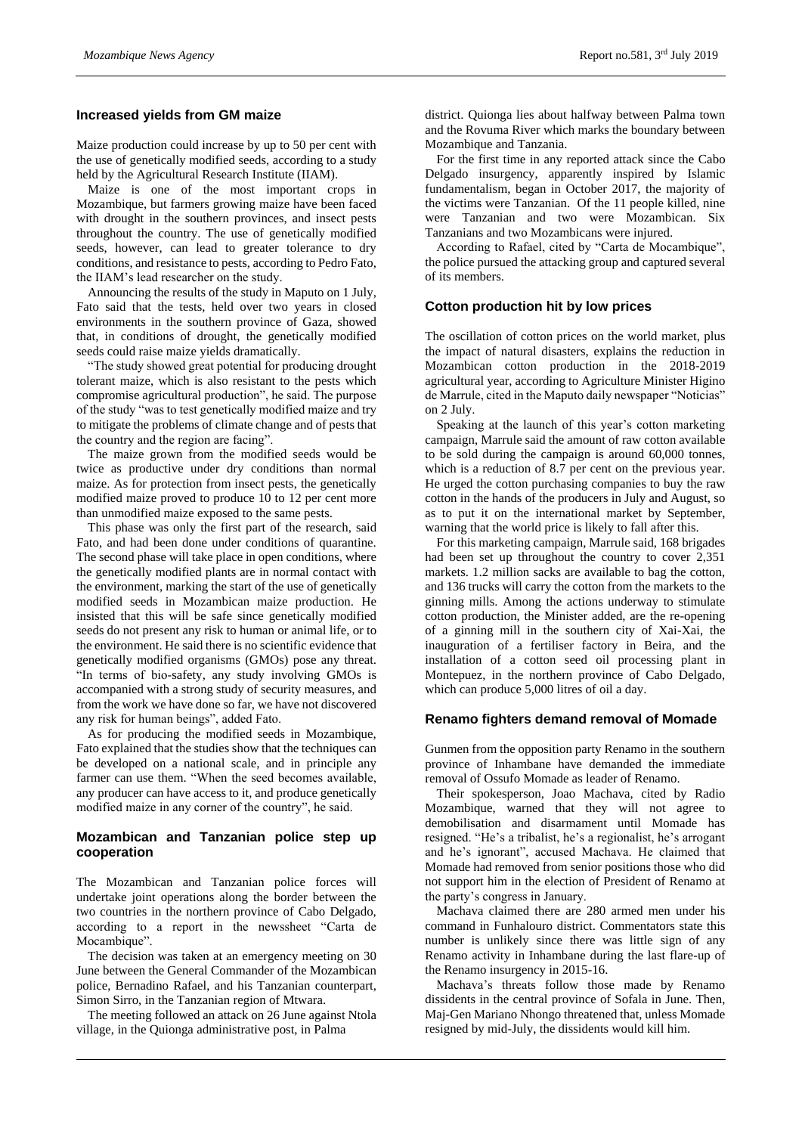## **Increased yields from GM maize**

Maize production could increase by up to 50 per cent with the use of genetically modified seeds, according to a study held by the Agricultural Research Institute (IIAM).

Maize is one of the most important crops in Mozambique, but farmers growing maize have been faced with drought in the southern provinces, and insect pests throughout the country. The use of genetically modified seeds, however, can lead to greater tolerance to dry conditions, and resistance to pests, according to Pedro Fato, the IIAM's lead researcher on the study.

Announcing the results of the study in Maputo on 1 July, Fato said that the tests, held over two years in closed environments in the southern province of Gaza, showed that, in conditions of drought, the genetically modified seeds could raise maize yields dramatically.

"The study showed great potential for producing drought tolerant maize, which is also resistant to the pests which compromise agricultural production", he said. The purpose of the study "was to test genetically modified maize and try to mitigate the problems of climate change and of pests that the country and the region are facing".

The maize grown from the modified seeds would be twice as productive under dry conditions than normal maize. As for protection from insect pests, the genetically modified maize proved to produce 10 to 12 per cent more than unmodified maize exposed to the same pests.

This phase was only the first part of the research, said Fato, and had been done under conditions of quarantine. The second phase will take place in open conditions, where the genetically modified plants are in normal contact with the environment, marking the start of the use of genetically modified seeds in Mozambican maize production. He insisted that this will be safe since genetically modified seeds do not present any risk to human or animal life, or to the environment. He said there is no scientific evidence that genetically modified organisms (GMOs) pose any threat. "In terms of bio-safety, any study involving GMOs is accompanied with a strong study of security measures, and from the work we have done so far, we have not discovered any risk for human beings", added Fato.

As for producing the modified seeds in Mozambique, Fato explained that the studies show that the techniques can be developed on a national scale, and in principle any farmer can use them. "When the seed becomes available, any producer can have access to it, and produce genetically modified maize in any corner of the country", he said.

## **Mozambican and Tanzanian police step up cooperation**

The Mozambican and Tanzanian police forces will undertake joint operations along the border between the two countries in the northern province of Cabo Delgado, according to a report in the newssheet "Carta de Mocambique".

The decision was taken at an emergency meeting on 30 June between the General Commander of the Mozambican police, Bernadino Rafael, and his Tanzanian counterpart, Simon Sirro, in the Tanzanian region of Mtwara.

The meeting followed an attack on 26 June against Ntola village, in the Quionga administrative post, in Palma

district. Quionga lies about halfway between Palma town and the Rovuma River which marks the boundary between Mozambique and Tanzania.

For the first time in any reported attack since the Cabo Delgado insurgency, apparently inspired by Islamic fundamentalism, began in October 2017, the majority of the victims were Tanzanian. Of the 11 people killed, nine were Tanzanian and two were Mozambican. Six Tanzanians and two Mozambicans were injured.

According to Rafael, cited by "Carta de Mocambique", the police pursued the attacking group and captured several of its members.

#### **Cotton production hit by low prices**

The oscillation of cotton prices on the world market, plus the impact of natural disasters, explains the reduction in Mozambican cotton production in the 2018-2019 agricultural year, according to Agriculture Minister Higino de Marrule, cited in the Maputo daily newspaper "Noticias" on 2 July.

Speaking at the launch of this year's cotton marketing campaign, Marrule said the amount of raw cotton available to be sold during the campaign is around 60,000 tonnes, which is a reduction of 8.7 per cent on the previous year. He urged the cotton purchasing companies to buy the raw cotton in the hands of the producers in July and August, so as to put it on the international market by September, warning that the world price is likely to fall after this.

For this marketing campaign, Marrule said, 168 brigades had been set up throughout the country to cover 2,351 markets. 1.2 million sacks are available to bag the cotton, and 136 trucks will carry the cotton from the markets to the ginning mills. Among the actions underway to stimulate cotton production, the Minister added, are the re-opening of a ginning mill in the southern city of Xai-Xai, the inauguration of a fertiliser factory in Beira, and the installation of a cotton seed oil processing plant in Montepuez, in the northern province of Cabo Delgado, which can produce 5,000 litres of oil a day.

#### **Renamo fighters demand removal of Momade**

Gunmen from the opposition party Renamo in the southern province of Inhambane have demanded the immediate removal of Ossufo Momade as leader of Renamo.

Their spokesperson, Joao Machava, cited by Radio Mozambique, warned that they will not agree to demobilisation and disarmament until Momade has resigned. "He's a tribalist, he's a regionalist, he's arrogant and he's ignorant", accused Machava. He claimed that Momade had removed from senior positions those who did not support him in the election of President of Renamo at the party's congress in January.

Machava claimed there are 280 armed men under his command in Funhalouro district. Commentators state this number is unlikely since there was little sign of any Renamo activity in Inhambane during the last flare-up of the Renamo insurgency in 2015-16.

Machava's threats follow those made by Renamo dissidents in the central province of Sofala in June. Then, Maj-Gen Mariano Nhongo threatened that, unless Momade resigned by mid-July, the dissidents would kill him.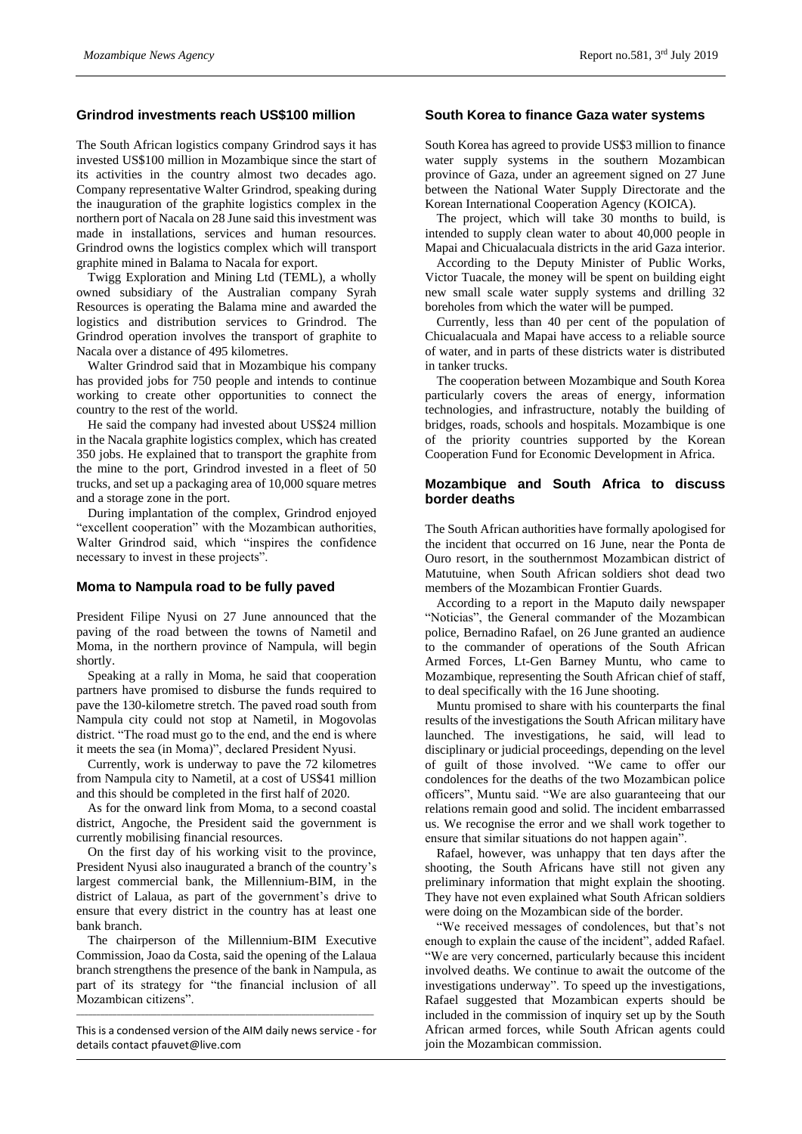### **Grindrod investments reach US\$100 million**

The South African logistics company Grindrod says it has invested US\$100 million in Mozambique since the start of its activities in the country almost two decades ago. Company representative Walter Grindrod, speaking during the inauguration of the graphite logistics complex in the northern port of Nacala on 28 June said this investment was made in installations, services and human resources. Grindrod owns the logistics complex which will transport graphite mined in Balama to Nacala for export.

Twigg Exploration and Mining Ltd (TEML), a wholly owned subsidiary of the Australian company Syrah Resources is operating the Balama mine and awarded the logistics and distribution services to Grindrod. The Grindrod operation involves the transport of graphite to Nacala over a distance of 495 kilometres.

Walter Grindrod said that in Mozambique his company has provided jobs for 750 people and intends to continue working to create other opportunities to connect the country to the rest of the world.

He said the company had invested about US\$24 million in the Nacala graphite logistics complex, which has created 350 jobs. He explained that to transport the graphite from the mine to the port, Grindrod invested in a fleet of 50 trucks, and set up a packaging area of 10,000 square metres and a storage zone in the port.

During implantation of the complex, Grindrod enjoyed "excellent cooperation" with the Mozambican authorities, Walter Grindrod said, which "inspires the confidence necessary to invest in these projects".

#### **Moma to Nampula road to be fully paved**

President Filipe Nyusi on 27 June announced that the paving of the road between the towns of Nametil and Moma, in the northern province of Nampula, will begin shortly.

Speaking at a rally in Moma, he said that cooperation partners have promised to disburse the funds required to pave the 130-kilometre stretch. The paved road south from Nampula city could not stop at Nametil, in Mogovolas district. "The road must go to the end, and the end is where it meets the sea (in Moma)", declared President Nyusi.

Currently, work is underway to pave the 72 kilometres from Nampula city to Nametil, at a cost of US\$41 million and this should be completed in the first half of 2020.

As for the onward link from Moma, to a second coastal district, Angoche, the President said the government is currently mobilising financial resources.

On the first day of his working visit to the province, President Nyusi also inaugurated a branch of the country's largest commercial bank, the Millennium-BIM, in the district of Lalaua, as part of the government's drive to ensure that every district in the country has at least one bank branch.

The chairperson of the Millennium-BIM Executive Commission, Joao da Costa, said the opening of the Lalaua branch strengthens the presence of the bank in Nampula, as part of its strategy for "the financial inclusion of all Mozambican citizens".

 $\mathcal{L}_\text{max} = \mathcal{L}_\text{max} = \mathcal{L}_\text{max} = \mathcal{L}_\text{max} = \mathcal{L}_\text{max} = \mathcal{L}_\text{max} = \mathcal{L}_\text{max} = \mathcal{L}_\text{max} = \mathcal{L}_\text{max} = \mathcal{L}_\text{max} = \mathcal{L}_\text{max} = \mathcal{L}_\text{max} = \mathcal{L}_\text{max} = \mathcal{L}_\text{max} = \mathcal{L}_\text{max} = \mathcal{L}_\text{max} = \mathcal{L}_\text{max} = \mathcal{L}_\text{max} = \mathcal{$ This is a condensed version of the AIM daily news service - for details contact pfauvet@live.com

#### **South Korea to finance Gaza water systems**

South Korea has agreed to provide US\$3 million to finance water supply systems in the southern Mozambican province of Gaza, under an agreement signed on 27 June between the National Water Supply Directorate and the Korean International Cooperation Agency (KOICA).

The project, which will take 30 months to build, is intended to supply clean water to about 40,000 people in Mapai and Chicualacuala districts in the arid Gaza interior.

According to the Deputy Minister of Public Works, Victor Tuacale, the money will be spent on building eight new small scale water supply systems and drilling 32 boreholes from which the water will be pumped.

Currently, less than 40 per cent of the population of Chicualacuala and Mapai have access to a reliable source of water, and in parts of these districts water is distributed in tanker trucks.

The cooperation between Mozambique and South Korea particularly covers the areas of energy, information technologies, and infrastructure, notably the building of bridges, roads, schools and hospitals. Mozambique is one of the priority countries supported by the Korean Cooperation Fund for Economic Development in Africa.

## **Mozambique and South Africa to discuss border deaths**

The South African authorities have formally apologised for the incident that occurred on 16 June, near the Ponta de Ouro resort, in the southernmost Mozambican district of Matutuine, when South African soldiers shot dead two members of the Mozambican Frontier Guards.

According to a report in the Maputo daily newspaper "Noticias", the General commander of the Mozambican police, Bernadino Rafael, on 26 June granted an audience to the commander of operations of the South African Armed Forces, Lt-Gen Barney Muntu, who came to Mozambique, representing the South African chief of staff, to deal specifically with the 16 June shooting.

Muntu promised to share with his counterparts the final results of the investigations the South African military have launched. The investigations, he said, will lead to disciplinary or judicial proceedings, depending on the level of guilt of those involved. "We came to offer our condolences for the deaths of the two Mozambican police officers", Muntu said. "We are also guaranteeing that our relations remain good and solid. The incident embarrassed us. We recognise the error and we shall work together to ensure that similar situations do not happen again".

Rafael, however, was unhappy that ten days after the shooting, the South Africans have still not given any preliminary information that might explain the shooting. They have not even explained what South African soldiers were doing on the Mozambican side of the border.

"We received messages of condolences, but that's not enough to explain the cause of the incident", added Rafael. "We are very concerned, particularly because this incident involved deaths. We continue to await the outcome of the investigations underway". To speed up the investigations, Rafael suggested that Mozambican experts should be included in the commission of inquiry set up by the South African armed forces, while South African agents could join the Mozambican commission.